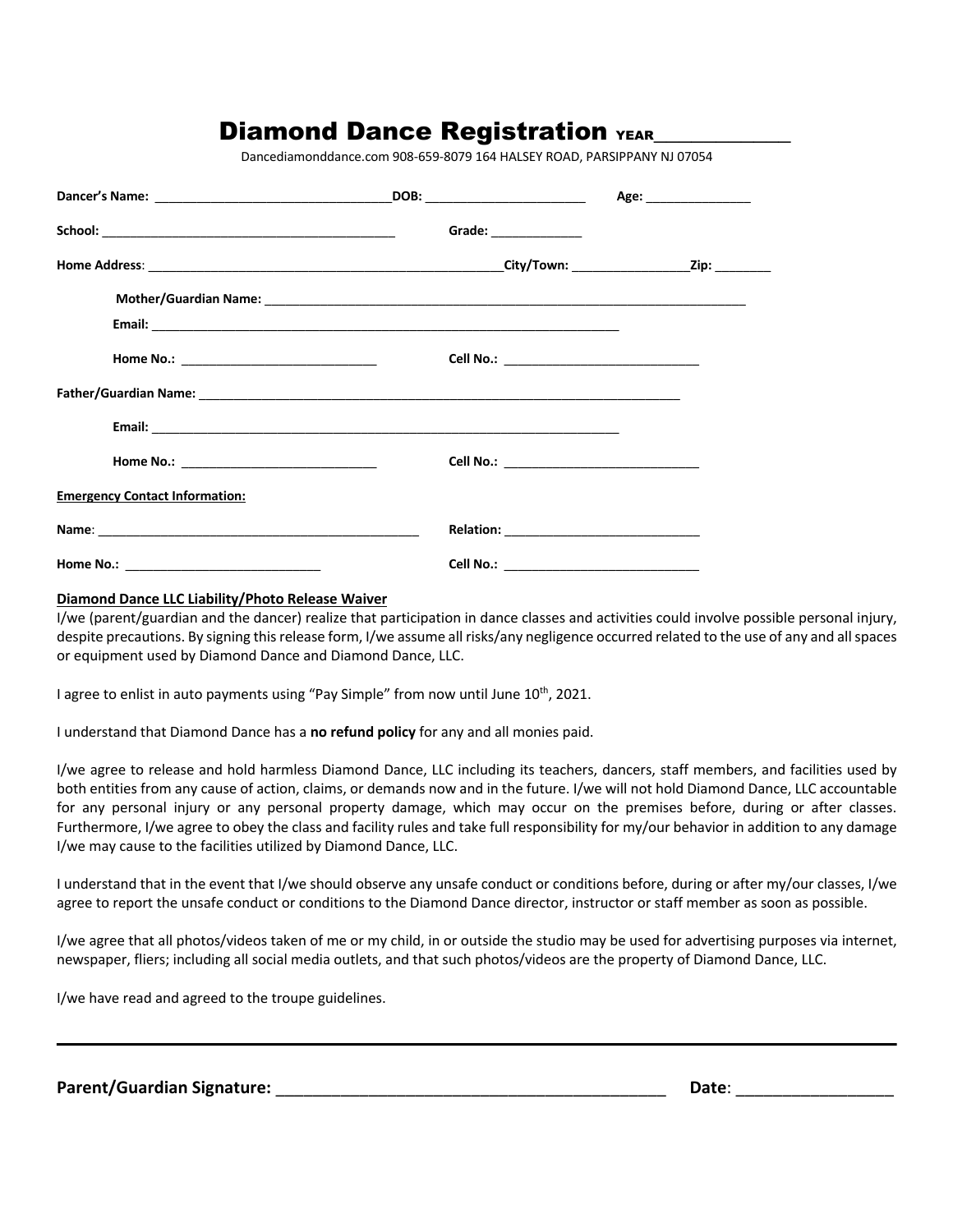# Diamond Dance Registration YEAR

Dancediamonddance.com 908-659-8079 164 HALSEY ROAD, PARSIPPANY NJ 07054

|                                       | DOB: ___________________________ | Age: __________________                   |
|---------------------------------------|----------------------------------|-------------------------------------------|
|                                       | Grade: $\_$                      |                                           |
|                                       |                                  |                                           |
|                                       |                                  |                                           |
|                                       |                                  |                                           |
|                                       |                                  | Cell No.: _______________________________ |
|                                       |                                  |                                           |
|                                       |                                  |                                           |
|                                       |                                  |                                           |
| <b>Emergency Contact Information:</b> |                                  |                                           |
|                                       |                                  |                                           |
| <b>Home No.:</b>                      | Cell No.:                        |                                           |

#### **Diamond Dance LLC Liability/Photo Release Waiver**

I/we (parent/guardian and the dancer) realize that participation in dance classes and activities could involve possible personal injury, despite precautions. By signing this release form, I/we assume all risks/any negligence occurred related to the use of any and all spaces or equipment used by Diamond Dance and Diamond Dance, LLC.

I agree to enlist in auto payments using "Pay Simple" from now until June 10<sup>th</sup>, 2021.

I understand that Diamond Dance has a **no refund policy** for any and all monies paid.

I/we agree to release and hold harmless Diamond Dance, LLC including its teachers, dancers, staff members, and facilities used by both entities from any cause of action, claims, or demands now and in the future. I/we will not hold Diamond Dance, LLC accountable for any personal injury or any personal property damage, which may occur on the premises before, during or after classes. Furthermore, I/we agree to obey the class and facility rules and take full responsibility for my/our behavior in addition to any damage I/we may cause to the facilities utilized by Diamond Dance, LLC.

I understand that in the event that I/we should observe any unsafe conduct or conditions before, during or after my/our classes, I/we agree to report the unsafe conduct or conditions to the Diamond Dance director, instructor or staff member as soon as possible.

I/we agree that all photos/videos taken of me or my child, in or outside the studio may be used for advertising purposes via internet, newspaper, fliers; including all social media outlets, and that such photos/videos are the property of Diamond Dance, LLC.

I/we have read and agreed to the troupe guidelines.

**Parent/Guardian Signature:** \_\_\_\_\_\_\_\_\_\_\_\_\_\_\_\_\_\_\_\_\_\_\_\_\_\_\_\_\_\_\_\_\_\_\_\_\_\_\_\_\_\_ **Date**: \_\_\_\_\_\_\_\_\_\_\_\_\_\_\_\_\_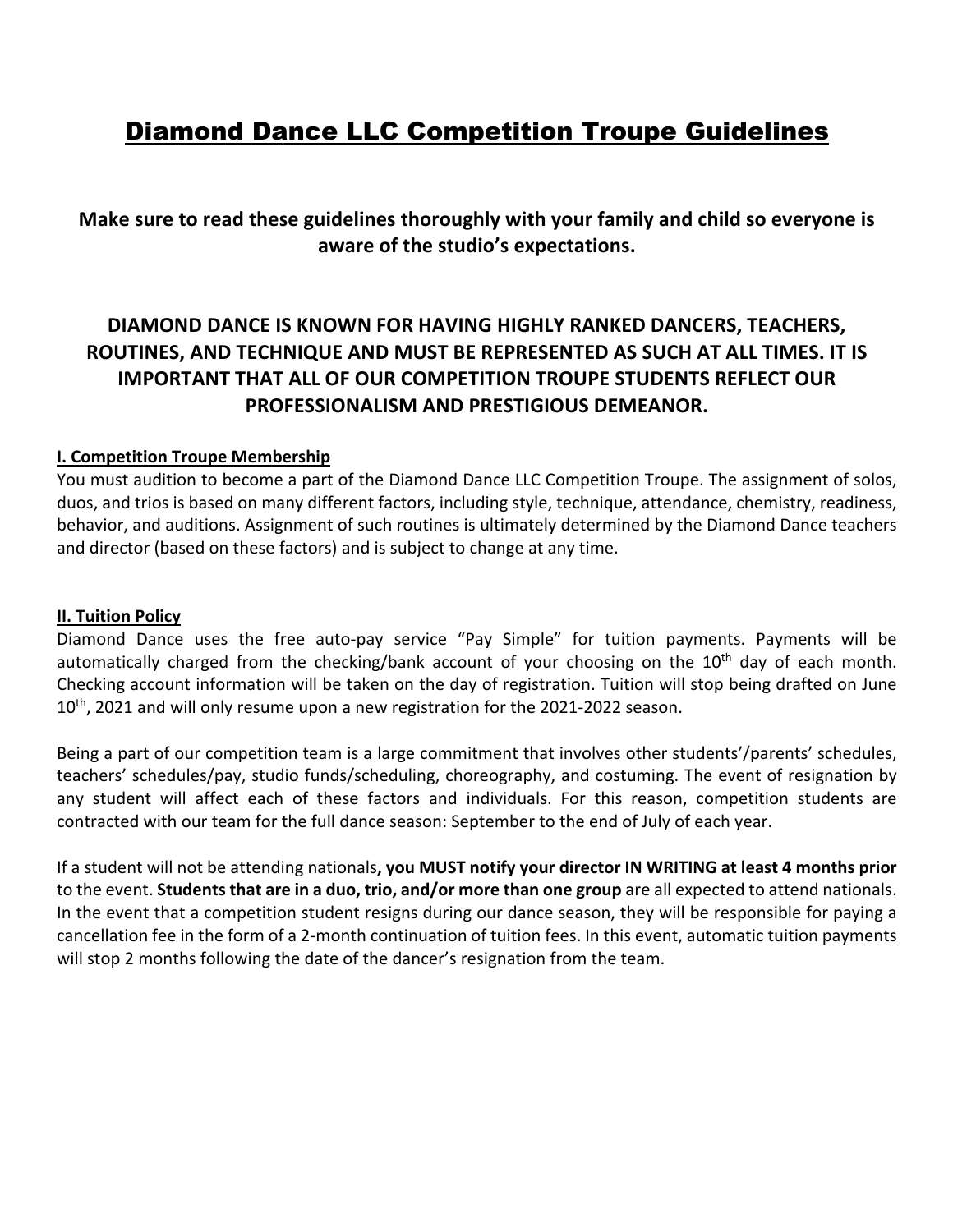# Diamond Dance LLC Competition Troupe Guidelines

**Make sure to read these guidelines thoroughly with your family and child so everyone is aware of the studio's expectations.**

## **DIAMOND DANCE IS KNOWN FOR HAVING HIGHLY RANKED DANCERS, TEACHERS, ROUTINES, AND TECHNIQUE AND MUST BE REPRESENTED AS SUCH AT ALL TIMES. IT IS IMPORTANT THAT ALL OF OUR COMPETITION TROUPE STUDENTS REFLECT OUR PROFESSIONALISM AND PRESTIGIOUS DEMEANOR.**

## **I. Competition Troupe Membership**

You must audition to become a part of the Diamond Dance LLC Competition Troupe. The assignment of solos, duos, and trios is based on many different factors, including style, technique, attendance, chemistry, readiness, behavior, and auditions. Assignment of such routines is ultimately determined by the Diamond Dance teachers and director (based on these factors) and is subject to change at any time.

### **II. Tuition Policy**

Diamond Dance uses the free auto-pay service "Pay Simple" for tuition payments. Payments will be automatically charged from the checking/bank account of your choosing on the 10<sup>th</sup> day of each month. Checking account information will be taken on the day of registration. Tuition will stop being drafted on June  $10^{th}$ , 2021 and will only resume upon a new registration for the 2021-2022 season.

Being a part of our competition team is a large commitment that involves other students'/parents' schedules, teachers' schedules/pay, studio funds/scheduling, choreography, and costuming. The event of resignation by any student will affect each of these factors and individuals. For this reason, competition students are contracted with our team for the full dance season: September to the end of July of each year.

If a student will not be attending nationals**, you MUST notify your director IN WRITING at least 4 months prior** to the event. **Students that are in a duo, trio, and/or more than one group** are all expected to attend nationals. In the event that a competition student resigns during our dance season, they will be responsible for paying a cancellation fee in the form of a 2-month continuation of tuition fees. In this event, automatic tuition payments will stop 2 months following the date of the dancer's resignation from the team.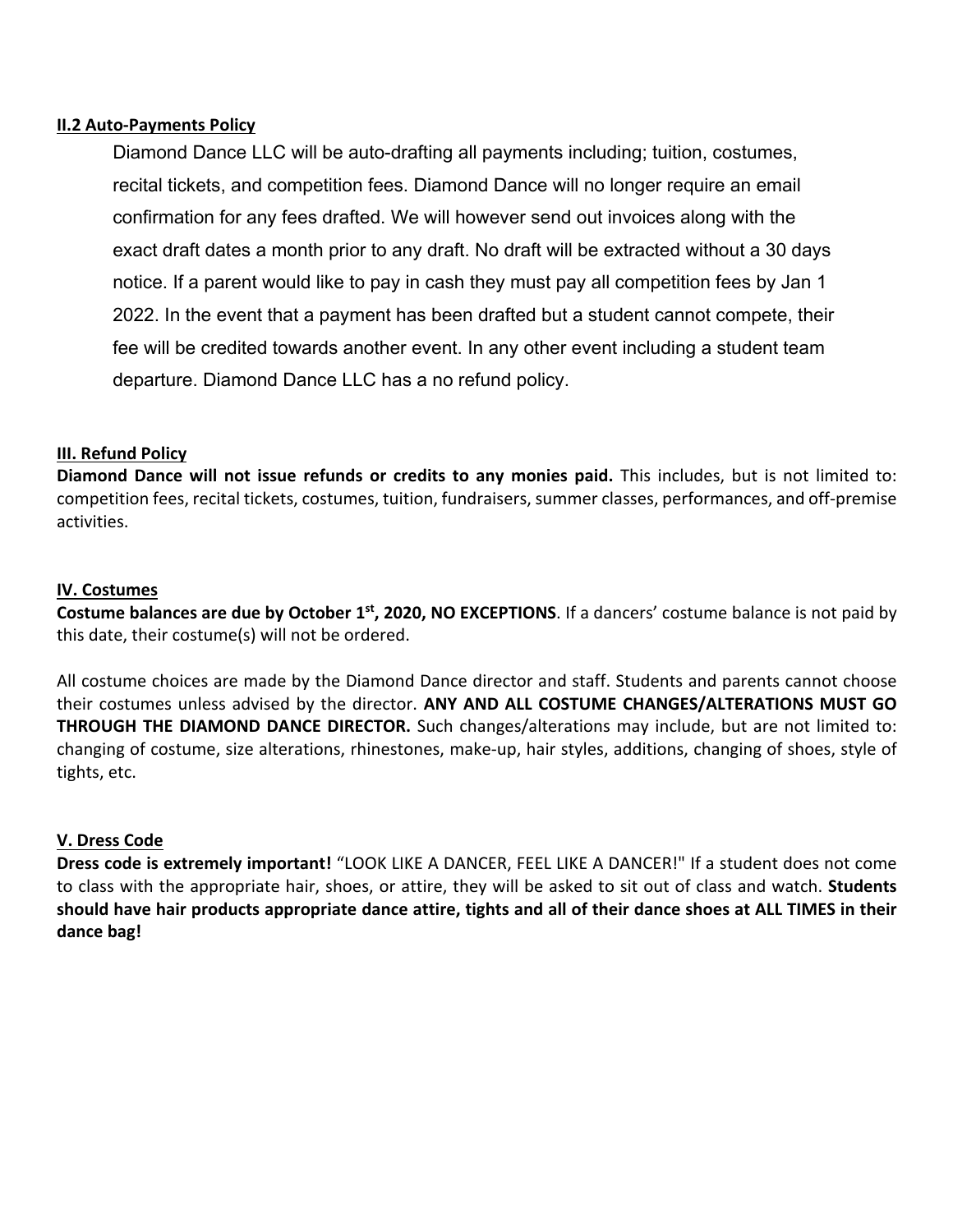### **II.2 Auto-Payments Policy**

Diamond Dance LLC will be auto-drafting all payments including; tuition, costumes, recital tickets, and competition fees. Diamond Dance will no longer require an email confirmation for any fees drafted. We will however send out invoices along with the exact draft dates a month prior to any draft. No draft will be extracted without a 30 days notice. If a parent would like to pay in cash they must pay all competition fees by Jan 1 2022. In the event that a payment has been drafted but a student cannot compete, their fee will be credited towards another event. In any other event including a student team departure. Diamond Dance LLC has a no refund policy.

## **III. Refund Policy**

**Diamond Dance will not issue refunds or credits to any monies paid.** This includes, but is not limited to: competition fees, recital tickets, costumes, tuition, fundraisers, summer classes, performances, and off-premise activities.

## **IV. Costumes**

**Costume balances are due by October 1st, 2020, NO EXCEPTIONS**. If a dancers' costume balance is not paid by this date, their costume(s) will not be ordered.

All costume choices are made by the Diamond Dance director and staff. Students and parents cannot choose their costumes unless advised by the director. **ANY AND ALL COSTUME CHANGES/ALTERATIONS MUST GO THROUGH THE DIAMOND DANCE DIRECTOR.** Such changes/alterations may include, but are not limited to: changing of costume, size alterations, rhinestones, make-up, hair styles, additions, changing of shoes, style of tights, etc.

### **V. Dress Code**

**Dress code is extremely important!** "LOOK LIKE A DANCER, FEEL LIKE A DANCER!" If a student does not come to class with the appropriate hair, shoes, or attire, they will be asked to sit out of class and watch. **Students should have hair products appropriate dance attire, tights and all of their dance shoes at ALL TIMES in their dance bag!**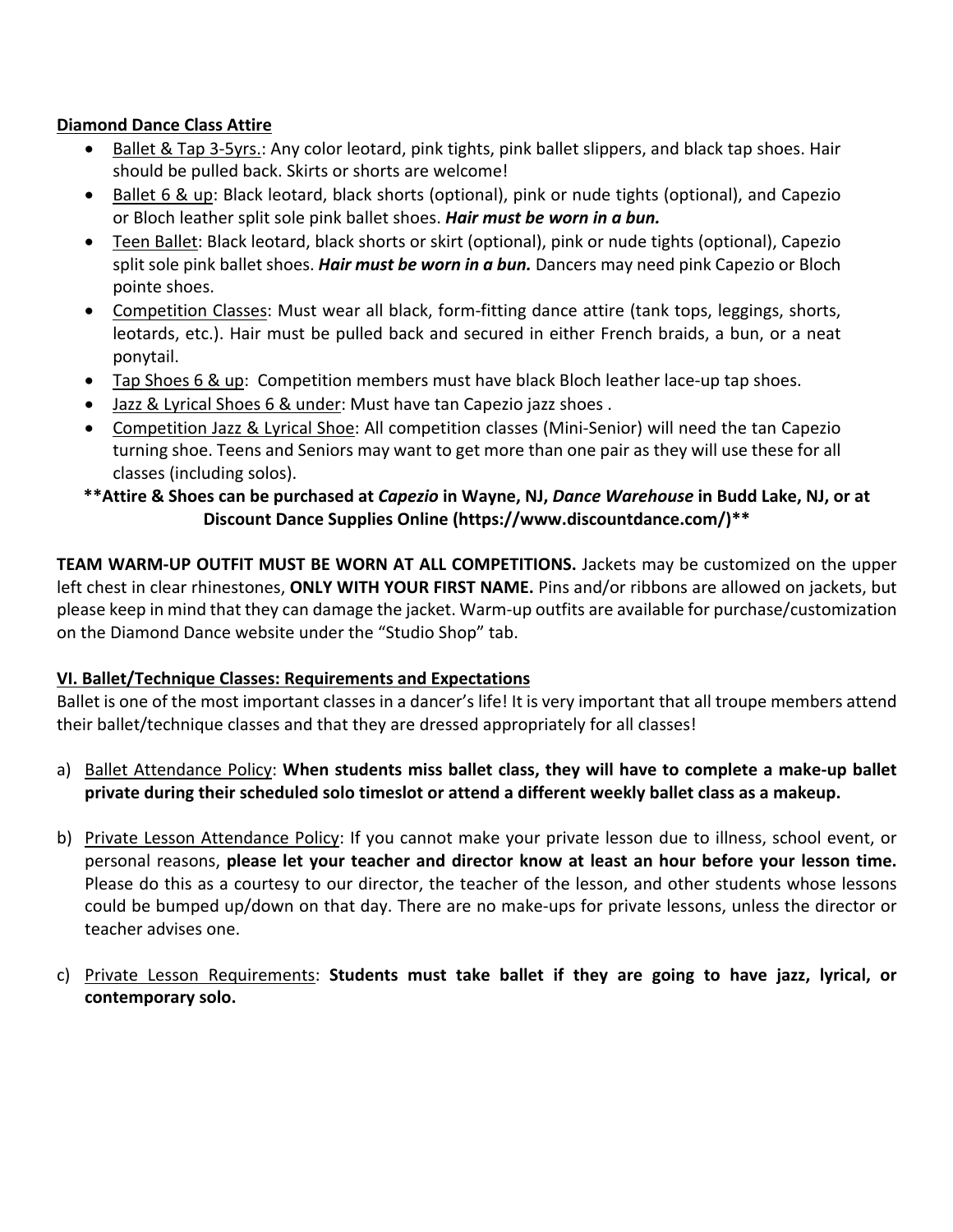## **Diamond Dance Class Attire**

- Ballet & Tap 3-5yrs.: Any color leotard, pink tights, pink ballet slippers, and black tap shoes. Hair should be pulled back. Skirts or shorts are welcome!
- Ballet 6 & up: Black leotard, black shorts (optional), pink or nude tights (optional), and Capezio or Bloch leather split sole pink ballet shoes. *Hair must be worn in a bun.*
- Teen Ballet: Black leotard, black shorts or skirt (optional), pink or nude tights (optional), Capezio split sole pink ballet shoes. *Hair must be worn in a bun.* Dancers may need pink Capezio or Bloch pointe shoes.
- Competition Classes: Must wear all black, form-fitting dance attire (tank tops, leggings, shorts, leotards, etc.). Hair must be pulled back and secured in either French braids, a bun, or a neat ponytail.
- Tap Shoes 6 & up: Competition members must have black Bloch leather lace-up tap shoes.
- Jazz & Lyrical Shoes 6 & under: Must have tan Capezio jazz shoes .
- Competition Jazz & Lyrical Shoe: All competition classes (Mini-Senior) will need the tan Capezio turning shoe. Teens and Seniors may want to get more than one pair as they will use these for all classes (including solos).

## **\*\*Attire & Shoes can be purchased at** *Capezio* **in Wayne, NJ,** *Dance Warehouse* **in Budd Lake, NJ, or at Discount Dance Supplies Online (https://www.discountdance.com/)\*\***

**TEAM WARM-UP OUTFIT MUST BE WORN AT ALL COMPETITIONS.** Jackets may be customized on the upper left chest in clear rhinestones, **ONLY WITH YOUR FIRST NAME.** Pins and/or ribbons are allowed on jackets, but please keep in mind that they can damage the jacket. Warm-up outfits are available for purchase/customization on the Diamond Dance website under the "Studio Shop" tab.

## **VI. Ballet/Technique Classes: Requirements and Expectations**

Ballet is one of the most important classes in a dancer's life! It is very important that all troupe members attend their ballet/technique classes and that they are dressed appropriately for all classes!

- a) Ballet Attendance Policy: **When students miss ballet class, they will have to complete a make-up ballet private during their scheduled solo timeslot or attend a different weekly ballet class as a makeup.**
- b) Private Lesson Attendance Policy: If you cannot make your private lesson due to illness, school event, or personal reasons, **please let your teacher and director know at least an hour before your lesson time.** Please do this as a courtesy to our director, the teacher of the lesson, and other students whose lessons could be bumped up/down on that day. There are no make-ups for private lessons, unless the director or teacher advises one.
- c) Private Lesson Requirements: **Students must take ballet if they are going to have jazz, lyrical, or contemporary solo.**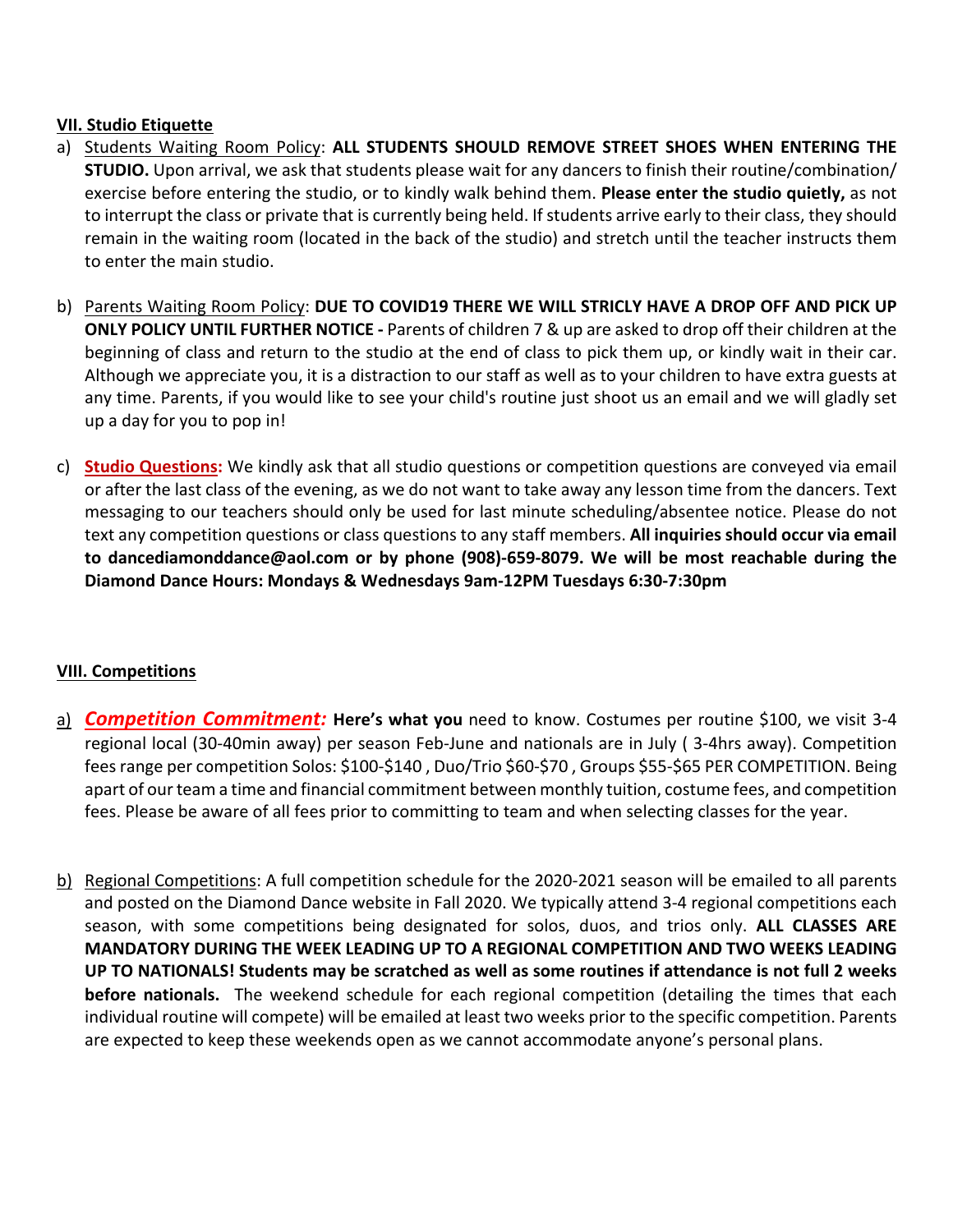## **VII. Studio Etiquette**

- a) Students Waiting Room Policy: **ALL STUDENTS SHOULD REMOVE STREET SHOES WHEN ENTERING THE STUDIO.** Upon arrival, we ask that students please wait for any dancers to finish their routine/combination/ exercise before entering the studio, or to kindly walk behind them. **Please enter the studio quietly,** as not to interrupt the class or private that is currently being held. If students arrive early to their class, they should remain in the waiting room (located in the back of the studio) and stretch until the teacher instructs them to enter the main studio.
- b) Parents Waiting Room Policy: **DUE TO COVID19 THERE WE WILL STRICLY HAVE A DROP OFF AND PICK UP ONLY POLICY UNTIL FURTHER NOTICE -** Parents of children 7 & up are asked to drop off their children at the beginning of class and return to the studio at the end of class to pick them up, or kindly wait in their car. Although we appreciate you, it is a distraction to our staff as well as to your children to have extra guests at any time. Parents, if you would like to see your child's routine just shoot us an email and we will gladly set up a day for you to pop in!
- c) **Studio Questions:** We kindly ask that all studio questions or competition questions are conveyed via email or after the last class of the evening, as we do not want to take away any lesson time from the dancers. Text messaging to our teachers should only be used for last minute scheduling/absentee notice. Please do not text any competition questions or class questions to any staff members. **All inquiries should occur via email to dancediamonddance@aol.com or by phone (908)-659-8079. We will be most reachable during the Diamond Dance Hours: Mondays & Wednesdays 9am-12PM Tuesdays 6:30-7:30pm**

## **VIII. Competitions**

- a) *Competition Commitment:* **Here's what you** need to know. Costumes per routine \$100, we visit 3-4 regional local (30-40min away) per season Feb-June and nationals are in July ( 3-4hrs away). Competition fees range per competition Solos: \$100-\$140 , Duo/Trio \$60-\$70 , Groups \$55-\$65 PER COMPETITION. Being apart of our team a time and financial commitment between monthly tuition, costume fees, and competition fees. Please be aware of all fees prior to committing to team and when selecting classes for the year.
- b) Regional Competitions: A full competition schedule for the 2020-2021 season will be emailed to all parents and posted on the Diamond Dance website in Fall 2020. We typically attend 3-4 regional competitions each season, with some competitions being designated for solos, duos, and trios only. **ALL CLASSES ARE MANDATORY DURING THE WEEK LEADING UP TO A REGIONAL COMPETITION AND TWO WEEKS LEADING UP TO NATIONALS! Students may be scratched as well as some routines if attendance is not full 2 weeks before nationals.** The weekend schedule for each regional competition (detailing the times that each individual routine will compete) will be emailed at least two weeks prior to the specific competition. Parents are expected to keep these weekends open as we cannot accommodate anyone's personal plans.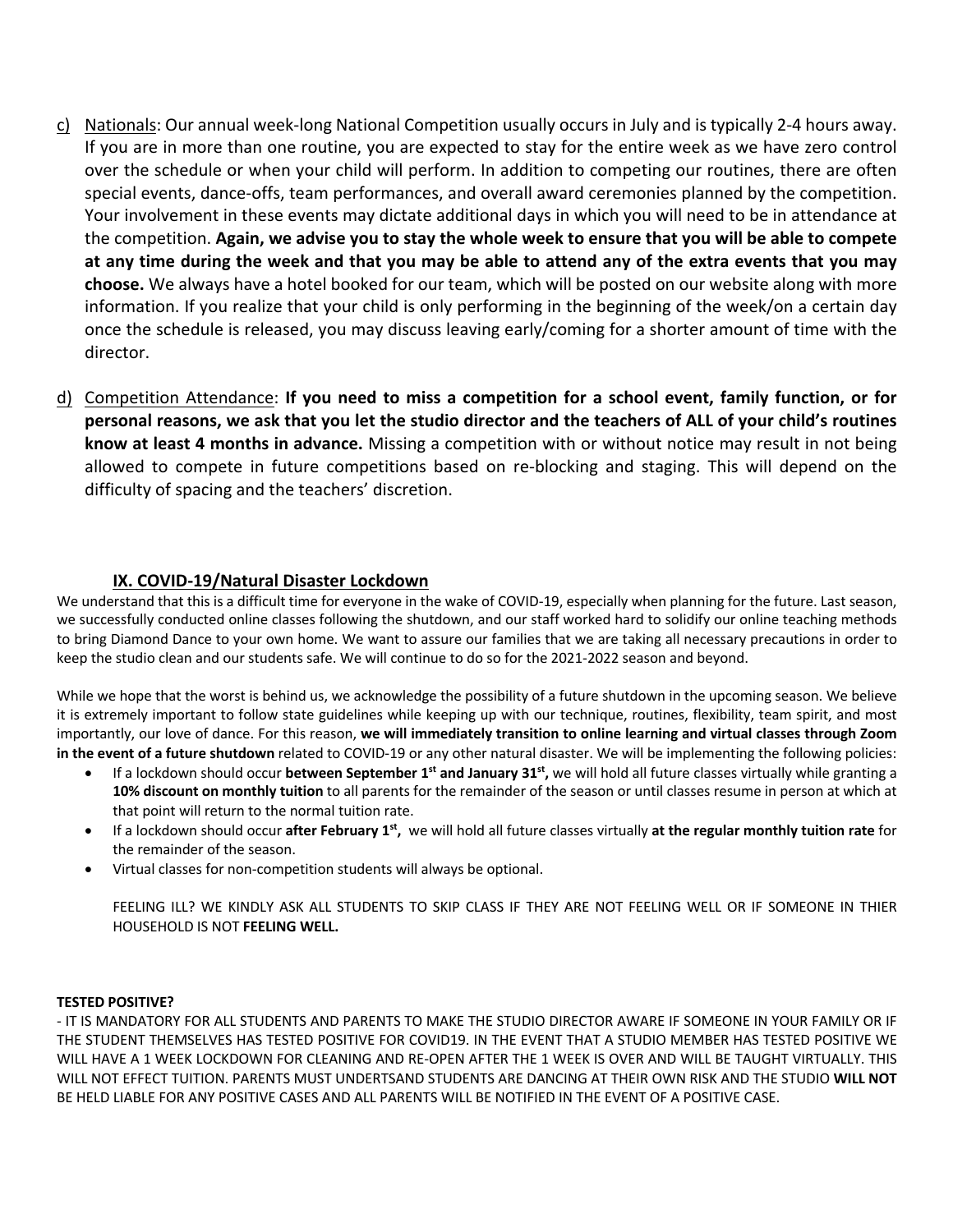- c) Nationals: Our annual week-long National Competition usually occurs in July and is typically 2-4 hours away. If you are in more than one routine, you are expected to stay for the entire week as we have zero control over the schedule or when your child will perform. In addition to competing our routines, there are often special events, dance-offs, team performances, and overall award ceremonies planned by the competition. Your involvement in these events may dictate additional days in which you will need to be in attendance at the competition. **Again, we advise you to stay the whole week to ensure that you will be able to compete at any time during the week and that you may be able to attend any of the extra events that you may choose.** We always have a hotel booked for our team, which will be posted on our website along with more information. If you realize that your child is only performing in the beginning of the week/on a certain day once the schedule is released, you may discuss leaving early/coming for a shorter amount of time with the director.
- d) Competition Attendance: **If you need to miss a competition for a school event, family function, or for personal reasons, we ask that you let the studio director and the teachers of ALL of your child's routines know at least 4 months in advance.** Missing a competition with or without notice may result in not being allowed to compete in future competitions based on re-blocking and staging. This will depend on the difficulty of spacing and the teachers' discretion.

#### **IX. COVID-19/Natural Disaster Lockdown**

We understand that this is a difficult time for everyone in the wake of COVID-19, especially when planning for the future. Last season, we successfully conducted online classes following the shutdown, and our staff worked hard to solidify our online teaching methods to bring Diamond Dance to your own home. We want to assure our families that we are taking all necessary precautions in order to keep the studio clean and our students safe. We will continue to do so for the 2021-2022 season and beyond.

While we hope that the worst is behind us, we acknowledge the possibility of a future shutdown in the upcoming season. We believe it is extremely important to follow state guidelines while keeping up with our technique, routines, flexibility, team spirit, and most importantly, our love of dance. For this reason, **we will immediately transition to online learning and virtual classes through Zoom in the event of a future shutdown** related to COVID-19 or any other natural disaster. We will be implementing the following policies:

- If a lockdown should occur **between September 1st and January 31st,** we will hold all future classes virtually while granting a **10% discount on monthly tuition** to all parents for the remainder of the season or until classes resume in person at which at that point will return to the normal tuition rate.
- If a lockdown should occur **after February 1st,** we will hold all future classes virtually **at the regular monthly tuition rate** for the remainder of the season.
- Virtual classes for non-competition students will always be optional.

FEELING ILL? WE KINDLY ASK ALL STUDENTS TO SKIP CLASS IF THEY ARE NOT FEELING WELL OR IF SOMEONE IN THIER HOUSEHOLD IS NOT **FEELING WELL.**

#### **TESTED POSITIVE?**

- IT IS MANDATORY FOR ALL STUDENTS AND PARENTS TO MAKE THE STUDIO DIRECTOR AWARE IF SOMEONE IN YOUR FAMILY OR IF THE STUDENT THEMSELVES HAS TESTED POSITIVE FOR COVID19. IN THE EVENT THAT A STUDIO MEMBER HAS TESTED POSITIVE WE WILL HAVE A 1 WEEK LOCKDOWN FOR CLEANING AND RE-OPEN AFTER THE 1 WEEK IS OVER AND WILL BE TAUGHT VIRTUALLY. THIS WILL NOT EFFECT TUITION. PARENTS MUST UNDERTSAND STUDENTS ARE DANCING AT THEIR OWN RISK AND THE STUDIO **WILL NOT** BE HELD LIABLE FOR ANY POSITIVE CASES AND ALL PARENTS WILL BE NOTIFIED IN THE EVENT OF A POSITIVE CASE.